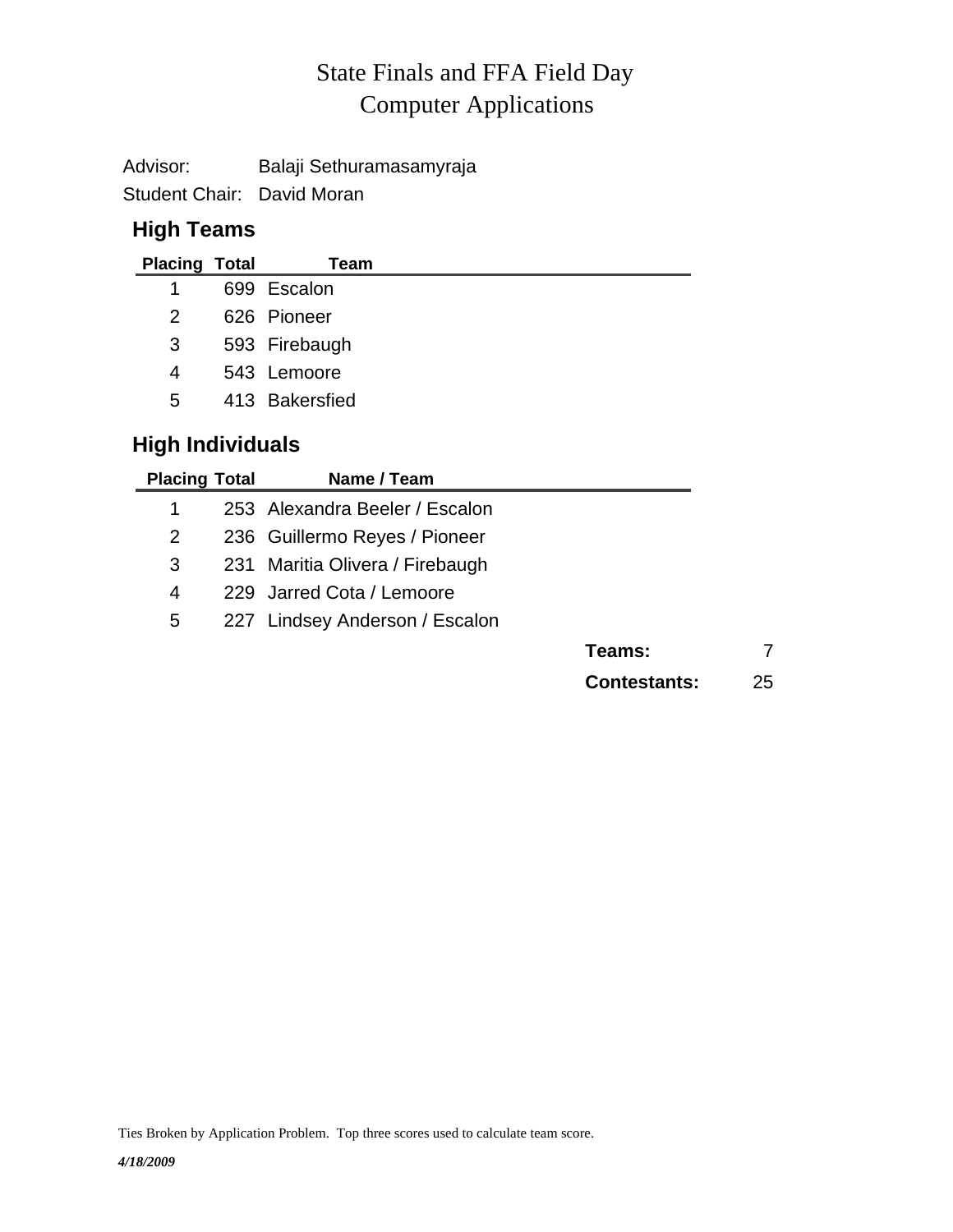# Computer Applications State Finals and FFA Field Day

Advisor: Balaji Sethuramasamyraja

Student Chair: David Moran

#### **High Teams**

| <b>Placing Total</b> | Team           |
|----------------------|----------------|
| 1                    | 699 Escalon    |
| 2                    | 626 Pioneer    |
| 3                    | 593 Firebaugh  |
| 4                    | 543 Lemoore    |
| 5                    | 413 Bakersfied |

### **High Individuals**

| <b>Placing Total</b> | Name / Team                     |                     |    |
|----------------------|---------------------------------|---------------------|----|
| 1                    | 253 Alexandra Beeler / Escalon  |                     |    |
| 2                    | 236 Guillermo Reyes / Pioneer   |                     |    |
| 3                    | 231 Maritia Olivera / Firebaugh |                     |    |
| 4                    | 229 Jarred Cota / Lemoore       |                     |    |
| 5                    | 227 Lindsey Anderson / Escalon  |                     |    |
|                      |                                 | Teams:              | 7  |
|                      |                                 | <b>Contestants:</b> | 25 |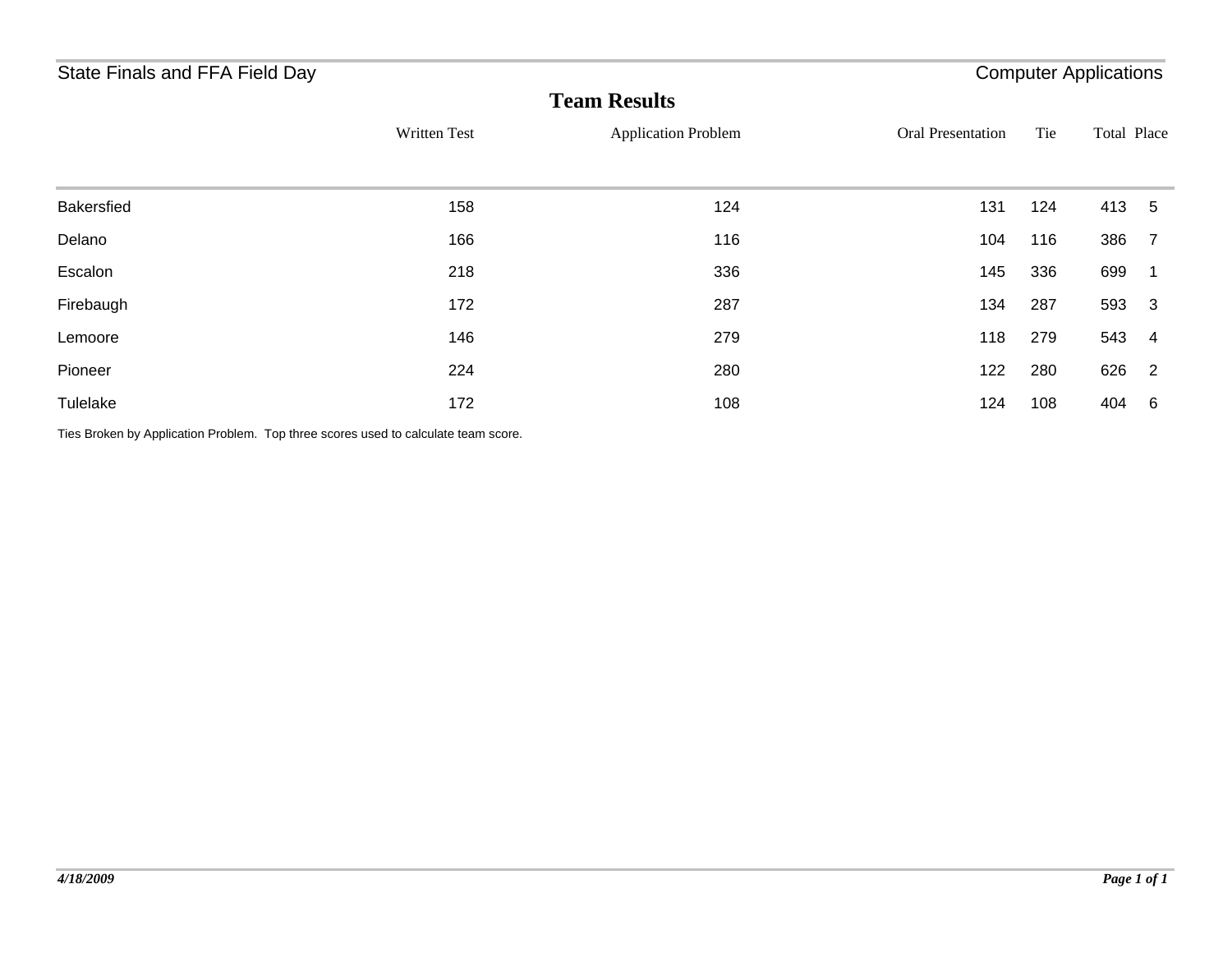## State Finals and FFA Field Day **Computer Applications** State Finals and FFA Field Day

| <b>Team Results</b> |              |                            |                          |     |             |                         |  |
|---------------------|--------------|----------------------------|--------------------------|-----|-------------|-------------------------|--|
|                     | Written Test | <b>Application Problem</b> | <b>Oral Presentation</b> | Tie | Total Place |                         |  |
| Bakersfied          | 158          | 124                        | 131                      | 124 | 413         | $-5$                    |  |
| Delano              | 166          | 116                        | 104                      | 116 | 386         | $\overline{7}$          |  |
| Escalon             | 218          | 336                        | 145                      | 336 | 699         | - 1                     |  |
| Firebaugh           | 172          | 287                        | 134                      | 287 | 593         | - 3                     |  |
| Lemoore             | 146          | 279                        | 118                      | 279 | 543         | $\overline{\mathbf{4}}$ |  |
| Pioneer             | 224          | 280                        | 122                      | 280 | 626         | $\overline{2}$          |  |
| Tulelake            | 172          | 108                        | 124                      | 108 | 404         | 6                       |  |

Ties Broken by Application Problem. Top three scores used to calculate team score.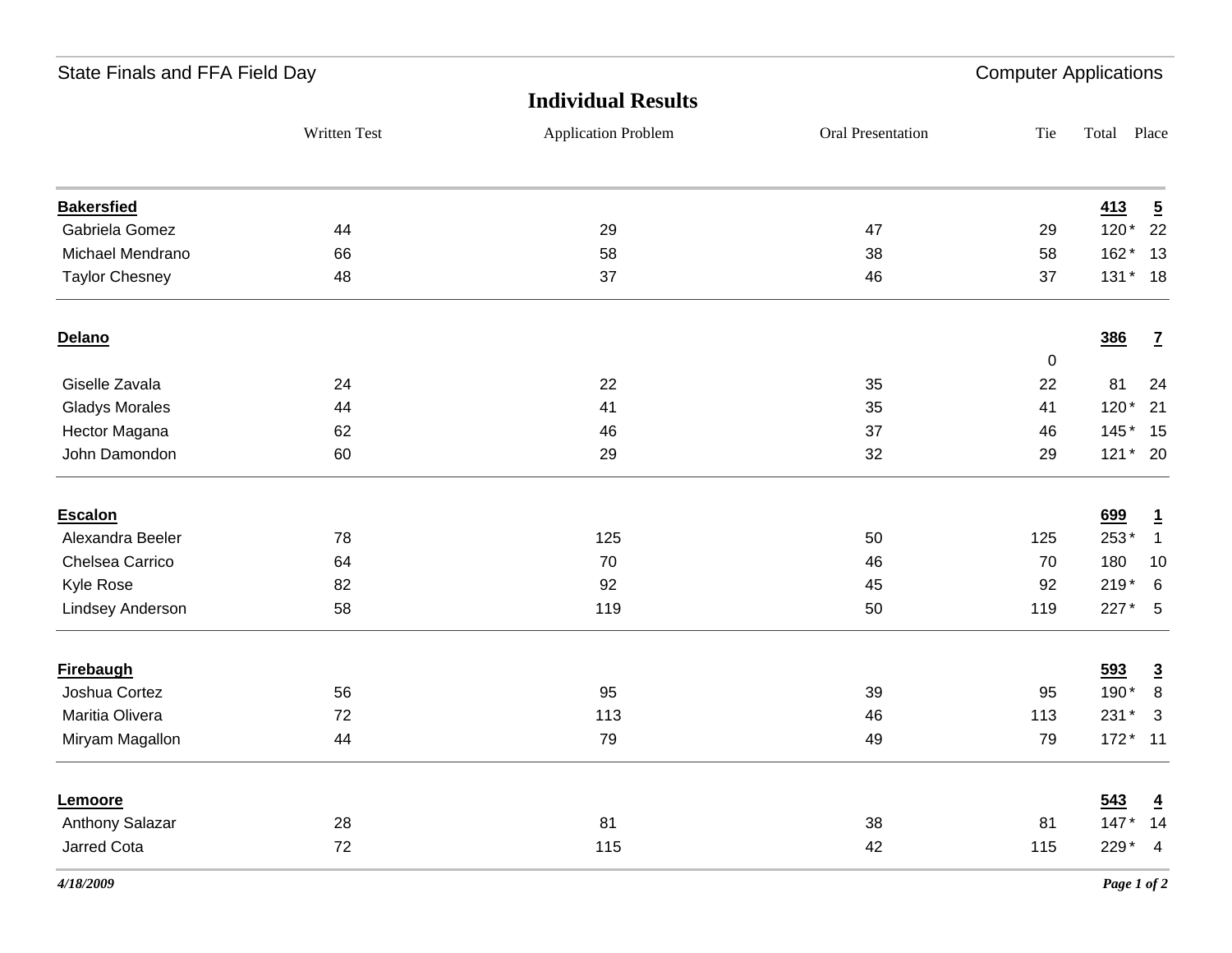| State Finals and FFA Field Day |              |                            |                   | <b>Computer Applications</b> |        |                |
|--------------------------------|--------------|----------------------------|-------------------|------------------------------|--------|----------------|
|                                |              | <b>Individual Results</b>  |                   |                              |        |                |
|                                | Written Test | <b>Application Problem</b> | Oral Presentation | Tie                          | Total  | Place          |
| <b>Bakersfied</b>              |              |                            |                   |                              | 413    | $\overline{2}$ |
| Gabriela Gomez                 | 44           | 29                         | 47                | 29                           | $120*$ | 22             |
| Michael Mendrano               | 66           | 58                         | 38                | 58                           | 162*   | 13             |
| <b>Taylor Chesney</b>          | 48           | 37                         | 46                | 37                           |        | 131 * 18       |
| Delano                         |              |                            |                   |                              | 386    | $\mathbf{Z}$   |
|                                |              |                            |                   | 0                            |        |                |
| Giselle Zavala                 | 24           | 22                         | 35                | 22                           | 81     | 24             |
| <b>Gladys Morales</b>          | 44           | 41                         | 35                | 41                           | $120*$ | 21             |
| Hector Magana                  | 62           | 46                         | 37                | 46                           | $145*$ | 15             |
| John Damondon                  | 60           | 29                         | 32                | 29                           |        | 121 * 20       |
| Escalon                        |              |                            |                   |                              | 699    | $\mathbf{1}$   |
| Alexandra Beeler               | 78           | 125                        | 50                | 125                          | 253*   | $\overline{1}$ |
| Chelsea Carrico                | 64           | 70                         | 46                | 70                           | 180    | 10             |
| Kyle Rose                      | 82           | 92                         | 45                | 92                           | $219*$ | 6              |
| Lindsey Anderson               | 58           | 119                        | 50                | 119                          | 227*   | 5              |
| <b>Firebaugh</b>               |              |                            |                   |                              | 593    | $\overline{3}$ |
| Joshua Cortez                  | 56           | 95                         | 39                | 95                           | 190*   | 8              |
| Maritia Olivera                | 72           | 113                        | 46                | 113                          | 231 *  | $\overline{3}$ |
| Miryam Magallon                | 44           | 79                         | 49                | 79                           | $172*$ | $-11$          |
| Lemoore                        |              |                            |                   |                              | 543    | $\overline{4}$ |
| Anthony Salazar                | 28           | 81                         | 38                | 81                           | $147*$ | 14             |
| Jarred Cota                    | 72           | 115                        | 42                | 115                          | 229*   | $\overline{4}$ |